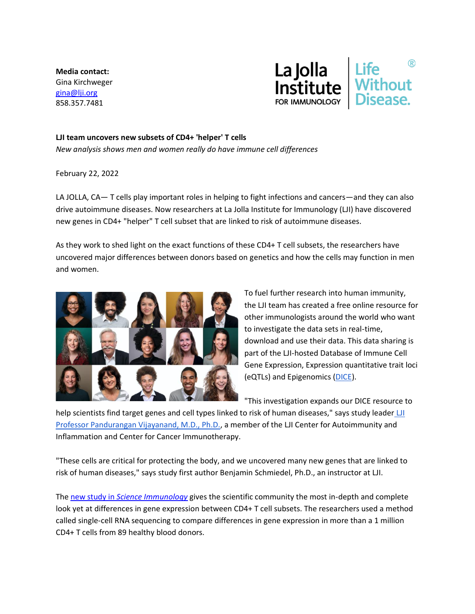**Media contact:** Gina Kirchweger [gina@lji.org](mailto:gina@lji.org) 858.357.7481



## **LJI team uncovers new subsets of CD4+ 'helper' T cells**

*New analysis shows men and women really do have immune cell differences*

February 22, 2022

LA JOLLA, CA— T cells play important roles in helping to fight infections and cancers—and they can also drive autoimmune diseases. Now researchers at La Jolla Institute for Immunology (LJI) have discovered new genes in CD4+ "helper" T cell subset that are linked to risk of autoimmune diseases.

As they work to shed light on the exact functions of these CD4+ T cell subsets, the researchers have uncovered major differences between donors based on genetics and how the cells may function in men and women.



To fuel further research into human immunity, the LJI team has created a free online resource for other immunologists around the world who want to investigate the data sets in real-time, download and use their data. This data sharing is part of the LJI-hosted Database of Immune Cell Gene Expression, Expression quantitative trait loci (eQTLs) and Epigenomics [\(DICE\)](https://www.lji.org/research/database-of-immune-cell-epigenomics/).

"This investigation expands our DICE resource to

help scientists find target genes and cell types linked to risk of human diseases," says study leader LI [Professor Pandurangan Vijayanand, M.D., Ph.D.,](https://www.lji.org/labs/vijayanand/) a member of the LJI Center for Autoimmunity and Inflammation and Center for Cancer Immunotherapy.

"These cells are critical for protecting the body, and we uncovered many new genes that are linked to risk of human diseases," says study first author Benjamin Schmiedel, Ph.D., an instructor at LJI.

The new study in *[Science Immunology](https://doi.org/10.1126/sciimmunol.abm2508)* gives the scientific community the most in-depth and complete look yet at differences in gene expression between CD4+ T cell subsets. The researchers used a method called single-cell RNA sequencing to compare differences in gene expression in more than a 1 million CD4+ T cells from 89 healthy blood donors.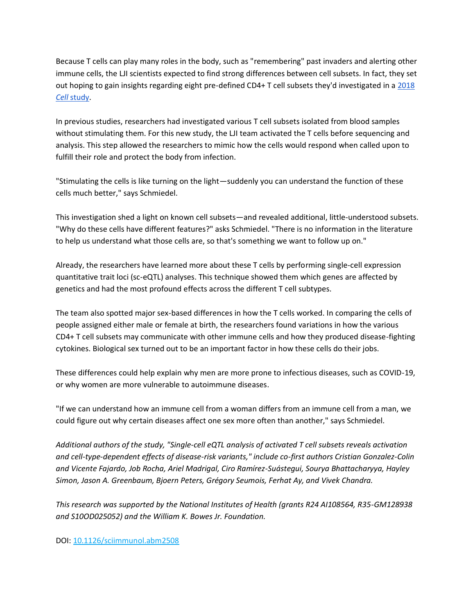Because T cells can play many roles in the body, such as "remembering" past invaders and alerting other immune cells, the LJI scientists expected to find strong differences between cell subsets. In fact, they set out hoping to gain insights regarding eight pre-defined CD4+ T cell subsets they'd investigated in [a 2018](https://www.cell.com/cell/fulltext/S0092-8674(18)31331-X?_returnURL=https%3A%2F%2Flinkinghub.elsevier.com%2Fretrieve%2Fpii%2FS009286741831331X%3Fshowall%3Dtrue)  *[Cell](https://www.cell.com/cell/fulltext/S0092-8674(18)31331-X?_returnURL=https%3A%2F%2Flinkinghub.elsevier.com%2Fretrieve%2Fpii%2FS009286741831331X%3Fshowall%3Dtrue)* [study.](https://www.cell.com/cell/fulltext/S0092-8674(18)31331-X?_returnURL=https%3A%2F%2Flinkinghub.elsevier.com%2Fretrieve%2Fpii%2FS009286741831331X%3Fshowall%3Dtrue)

In previous studies, researchers had investigated various T cell subsets isolated from blood samples without stimulating them. For this new study, the LJI team activated the T cells before sequencing and analysis. This step allowed the researchers to mimic how the cells would respond when called upon to fulfill their role and protect the body from infection.

"Stimulating the cells is like turning on the light—suddenly you can understand the function of these cells much better," says Schmiedel.

This investigation shed a light on known cell subsets—and revealed additional, little-understood subsets. "Why do these cells have different features?" asks Schmiedel. "There is no information in the literature to help us understand what those cells are, so that's something we want to follow up on."

Already, the researchers have learned more about these T cells by performing single-cell expression quantitative trait loci (sc-eQTL) analyses. This technique showed them which genes are affected by genetics and had the most profound effects across the different T cell subtypes.

The team also spotted major sex-based differences in how the T cells worked. In comparing the cells of people assigned either male or female at birth, the researchers found variations in how the various CD4+ T cell subsets may communicate with other immune cells and how they produced disease-fighting cytokines. Biological sex turned out to be an important factor in how these cells do their jobs.

These differences could help explain why men are more prone to infectious diseases, such as COVID-19, or why women are more vulnerable to autoimmune diseases.

"If we can understand how an immune cell from a woman differs from an immune cell from a man, we could figure out why certain diseases affect one sex more often than another," says Schmiedel.

*Additional authors of the study, "Single-cell eQTL analysis of activated T cell subsets reveals activation and cell-type-dependent effects of disease-risk variants," include co-first authors Cristian Gonzalez-Colin and Vicente Fajardo, Job Rocha, Ariel Madrigal, Ciro Ramírez-Suástegui, Sourya Bhattacharyya, Hayley Simon, Jason A. Greenbaum, Bjoern Peters, Grégory Seumois, Ferhat Ay, and Vivek Chandra.*

*This research was supported by the National Institutes of Health (grants R24 AI108564, R35-GM128938 and S10OD025052) and the William K. Bowes Jr. Foundation.*

DOI: [10.1126/sciimmunol.abm2508](https://doi.org/10.1126/sciimmunol.abm2508)